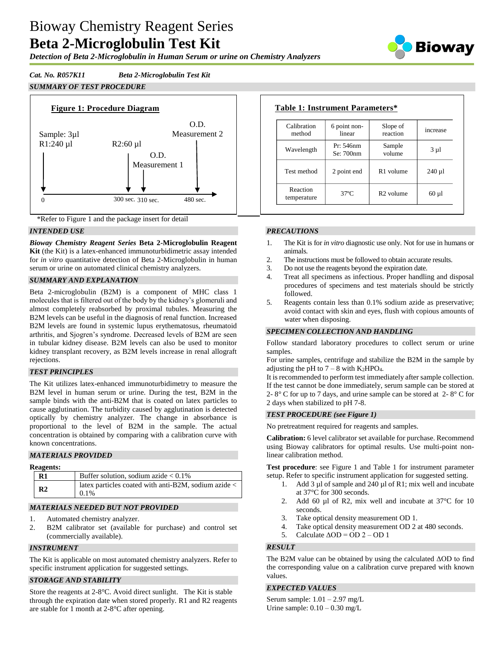# Bioway Chemistry Reagent Series **Beta 2-Microglobulin Test Kit**

*Detection of Beta 2-Microglobulin in Human Serum or urine on Chemistry Analyzers*



# *Cat. No. R057K11 Beta 2-Microglobulin Test Kit*

# *SUMMARY OF TEST PROCEDURE*





# *INTENDED USE*

*Bioway Chemistry Reagent Series* **Beta 2-Microglobulin Reagent Kit** (the Kit) is a latex-enhanced immunoturbidimetric assay intended for *in vitro* quantitative detection of Beta 2-Microglobulin in human serum or urine on automated clinical chemistry analyzers.

# *SUMMARY AND EXPLANATION*

Beta 2-microglobulin (B2M) is a component of MHC class 1 molecules that is filtered out of the body by the kidney's glomeruli and almost completely reabsorbed by proximal tubules. Measuring the B2M levels can be useful in the diagnosis of renal function. Increased B2M levels are found in systemic lupus erythematosus, rheumatoid arthritis, and Sjogren's syndrome. Decreased levels of B2M are seen in tubular kidney disease. B2M levels can also be used to monitor kidney transplant recovery, as B2M levels increase in renal allograft rejections.

# *TEST PRINCIPLES*

The Kit utilizes latex-enhanced immunoturbidimetry to measure the B2M level in human serum or urine. During the test, B2M in the sample binds with the anti-B2M that is coated on latex particles to cause agglutination. The turbidity caused by agglutination is detected optically by chemistry analyzer. The change in absorbance is proportional to the level of B2M in the sample. The actual concentration is obtained by comparing with a calibration curve with known concentrations.

# *MATERIALS PROVIDED*

| <b>Reagents:</b> |                                                                     |
|------------------|---------------------------------------------------------------------|
| $R1$             | Buffer solution, sodium azide $< 0.1\%$                             |
| R <sub>2</sub>   | latex particles coated with anti-B2M, sodium azide $\lt$<br>$0.1\%$ |

# *MATERIALS NEEDED BUT NOT PROVIDED*

- 1. Automated chemistry analyzer.
- 2. B2M calibrator set (available for purchase) and control set (commercially available).

# *INSTRUMENT*

The Kit is applicable on most automated chemistry analyzers. Refer to specific instrument application for suggested settings.

# *STORAGE AND STABILITY*

Store the reagents at 2-8°C. Avoid direct sunlight. The Kit is stable through the expiration date when stored properly. R1 and R2 reagents are stable for 1 month at 2-8°C after opening.

| Calibration<br>method   | 6 point non-<br>linear | Slope of<br>reaction  | increase   |
|-------------------------|------------------------|-----------------------|------------|
| Wavelength              | Pr: 546nm<br>Se: 700nm | Sample<br>volume      | $3 \mu l$  |
| Test method             | 2 point end            | R <sub>1</sub> volume | $240 \mu$  |
| Reaction<br>temperature | $37^\circ$ C           | R <sub>2</sub> volume | $60 \mu l$ |

# *PRECAUTIONS*

- 1. The Kit is for *in vitro* diagnostic use only. Not for use in humans or animals.
- 2. The instructions must be followed to obtain accurate results.<br>3. Do not use the reagents beyond the expiration date.
- Do not use the reagents beyond the expiration date.
- 4. Treat all specimens as infectious. Proper handling and disposal procedures of specimens and test materials should be strictly followed.
- 5. Reagents contain less than 0.1% sodium azide as preservative; avoid contact with skin and eyes, flush with copious amounts of water when disposing.

# *SPECIMEN COLLECTION AND HANDLING*

Follow standard laboratory procedures to collect serum or urine samples.

For urine samples, centrifuge and stabilize the B2M in the sample by adjusting the pH to  $7 - 8$  with K<sub>2</sub>HPO<sub>4</sub>.

It is recommended to perform test immediately after sample collection. If the test cannot be done immediately, serum sample can be stored at 2-  $8^{\circ}$  C for up to 7 days, and urine sample can be stored at 2- $8^{\circ}$  C for 2 days when stabilized to pH 7-8.

# *TEST PROCEDURE (see Figure 1)*

No pretreatment required for reagents and samples.

**Calibration:** 6 level calibrator set available for purchase. Recommend using Bioway calibrators for optimal results. Use multi-point nonlinear calibration method.

**Test procedure**: see Figure 1 and Table 1 for instrument parameter setup. Refer to specific instrument application for suggested setting.

- 1. Add 3 µl of sample and 240 µl of R1; mix well and incubate at 37°C for 300 seconds.
- 2. Add 60 µl of R2, mix well and incubate at 37°C for 10 seconds.
- 3. Take optical density measurement OD 1.
- 4. Take optical density measurement OD 2 at 480 seconds.
- 5. Calculate  $\triangle$ OD = OD 2 OD 1

# *RESULT*

The B2M value can be obtained by using the calculated ΔOD to find the corresponding value on a calibration curve prepared with known values.

# *EXPECTED VALUES*

Serum sample:  $1.01 - 2.97$  mg/L Urine sample:  $0.10 - 0.30$  mg/L